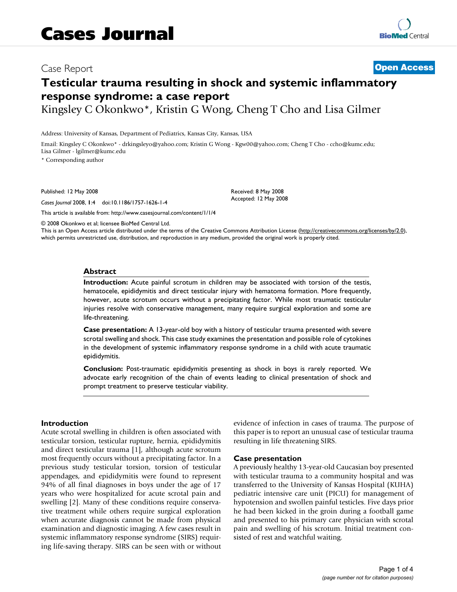# Case Report **[Open Access](http://www.biomedcentral.com/info/about/charter/)**

# **Testicular trauma resulting in shock and systemic inflammatory response syndrome: a case report**

Kingsley C Okonkwo\*, Kristin G Wong, Cheng T Cho and Lisa Gilmer

Address: University of Kansas, Department of Pediatrics, Kansas City, Kansas, USA

Email: Kingsley C Okonkwo\* - drkingsleyo@yahoo.com; Kristin G Wong - Kgw00@yahoo.com; Cheng T Cho - ccho@kumc.edu; Lisa Gilmer - lgilmer@kumc.edu

\* Corresponding author

Published: 12 May 2008

*Cases Journal* 2008, **1**:4 doi:10.1186/1757-1626-1-4

[This article is available from: http://www.casesjournal.com/content/1/1/4](http://www.casesjournal.com/content/1/1/4)

Received: 8 May 2008 Accepted: 12 May 2008

© 2008 Okonkwo et al; licensee BioMed Central Ltd.

This is an Open Access article distributed under the terms of the Creative Commons Attribution License [\(http://creativecommons.org/licenses/by/2.0\)](http://creativecommons.org/licenses/by/2.0), which permits unrestricted use, distribution, and reproduction in any medium, provided the original work is properly cited.

#### **Abstract**

**Introduction:** Acute painful scrotum in children may be associated with torsion of the testis, hematocele, epididymitis and direct testicular injury with hematoma formation. More frequently, however, acute scrotum occurs without a precipitating factor. While most traumatic testicular injuries resolve with conservative management, many require surgical exploration and some are life-threatening.

**Case presentation:** A 13-year-old boy with a history of testicular trauma presented with severe scrotal swelling and shock. This case study examines the presentation and possible role of cytokines in the development of systemic inflammatory response syndrome in a child with acute traumatic epididymitis.

**Conclusion:** Post-traumatic epididymitis presenting as shock in boys is rarely reported. We advocate early recognition of the chain of events leading to clinical presentation of shock and prompt treatment to preserve testicular viability.

#### **Introduction**

Acute scrotal swelling in children is often associated with testicular torsion, testicular rupture, hernia, epididymitis and direct testicular trauma [1], although acute scrotum most frequently occurs without a precipitating factor. In a previous study testicular torsion, torsion of testicular appendages, and epididymitis were found to represent 94% of all final diagnoses in boys under the age of 17 years who were hospitalized for acute scrotal pain and swelling [2]. Many of these conditions require conservative treatment while others require surgical exploration when accurate diagnosis cannot be made from physical examination and diagnostic imaging. A few cases result in systemic inflammatory response syndrome (SIRS) requiring life-saving therapy. SIRS can be seen with or without evidence of infection in cases of trauma. The purpose of this paper is to report an unusual case of testicular trauma resulting in life threatening SIRS.

#### **Case presentation**

A previously healthy 13-year-old Caucasian boy presented with testicular trauma to a community hospital and was transferred to the University of Kansas Hospital (KUHA) pediatric intensive care unit (PICU) for management of hypotension and swollen painful testicles. Five days prior he had been kicked in the groin during a football game and presented to his primary care physician with scrotal pain and swelling of his scrotum. Initial treatment consisted of rest and watchful waiting.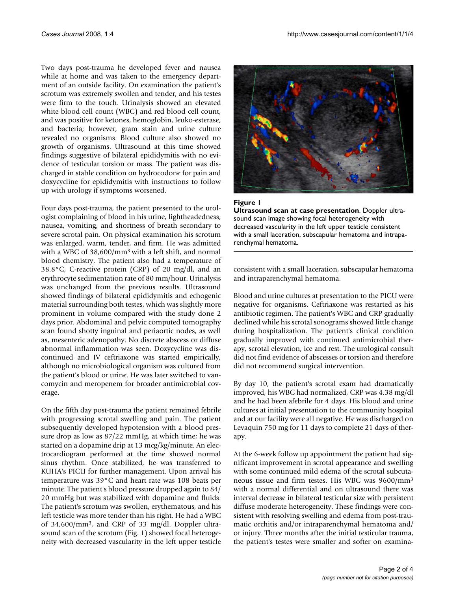Two days post-trauma he developed fever and nausea while at home and was taken to the emergency department of an outside facility. On examination the patient's scrotum was extremely swollen and tender, and his testes were firm to the touch. Urinalysis showed an elevated white blood cell count (WBC) and red blood cell count, and was positive for ketones, hemoglobin, leuko-esterase, and bacteria; however, gram stain and urine culture revealed no organisms. Blood culture also showed no growth of organisms. Ultrasound at this time showed findings suggestive of bilateral epididymitis with no evidence of testicular torsion or mass. The patient was discharged in stable condition on hydrocodone for pain and doxycycline for epididymitis with instructions to follow up with urology if symptoms worsened.

Four days post-trauma, the patient presented to the urologist complaining of blood in his urine, lightheadedness, nausea, vomiting, and shortness of breath secondary to severe scrotal pain. On physical examination his scrotum was enlarged, warm, tender, and firm. He was admitted with a WBC of 38,600/mm3 with a left shift, and normal blood chemistry. The patient also had a temperature of 38.8°C, C-reactive protein (CRP) of 20 mg/dl, and an erythrocyte sedimentation rate of 80 mm/hour. Urinalysis was unchanged from the previous results. Ultrasound showed findings of bilateral epididymitis and echogenic material surrounding both testes, which was slightly more prominent in volume compared with the study done 2 days prior. Abdominal and pelvic computed tomography scan found shotty inguinal and periaortic nodes, as well as, mesenteric adenopathy. No discrete abscess or diffuse abnormal inflammation was seen. Doxycycline was discontinued and IV ceftriaxone was started empirically, although no microbiological organism was cultured from the patient's blood or urine. He was later switched to vancomycin and meropenem for broader antimicrobial coverage.

On the fifth day post-trauma the patient remained febrile with progressing scrotal swelling and pain. The patient subsequently developed hypotension with a blood pressure drop as low as 87/22 mmHg, at which time; he was started on a dopamine drip at 13 mcg/kg/minute. An electrocardiogram performed at the time showed normal sinus rhythm. Once stabilized, he was transferred to KUHA's PICU for further management. Upon arrival his temperature was 39°C and heart rate was 108 beats per minute. The patient's blood pressure dropped again to 84/ 20 mmHg but was stabilized with dopamine and fluids. The patient's scrotum was swollen, erythematous, and his left testicle was more tender than his right. He had a WBC of 34,600/mm3, and CRP of 33 mg/dl. Doppler ultrasound scan of the scrotum (Fig. 1) showed focal heterogeneity with decreased vascularity in the left upper testicle





consistent with a small laceration, subscapular hematoma and intraparenchymal hematoma.

Blood and urine cultures at presentation to the PICU were negative for organisms. Ceftriaxone was restarted as his antibiotic regimen. The patient's WBC and CRP gradually declined while his scrotal sonograms showed little change during hospitalization. The patient's clinical condition gradually improved with continued antimicrobial therapy, scrotal elevation, ice and rest. The urological consult did not find evidence of abscesses or torsion and therefore did not recommend surgical intervention.

By day 10, the patient's scrotal exam had dramatically improved, his WBC had normalized, CRP was 4.38 mg/dl and he had been afebrile for 4 days. His blood and urine cultures at initial presentation to the community hospital and at our facility were all negative. He was discharged on Levaquin 750 mg for 11 days to complete 21 days of therapy.

At the 6-week follow up appointment the patient had significant improvement in scrotal appearance and swelling with some continued mild edema of the scrotal subcutaneous tissue and firm testes. His WBC was 9600/mm3 with a normal differential and on ultrasound there was interval decrease in bilateral testicular size with persistent diffuse moderate heterogeneity. These findings were consistent with resolving swelling and edema from post-traumatic orchitis and/or intraparenchymal hematoma and/ or injury. Three months after the initial testicular trauma, the patient's testes were smaller and softer on examina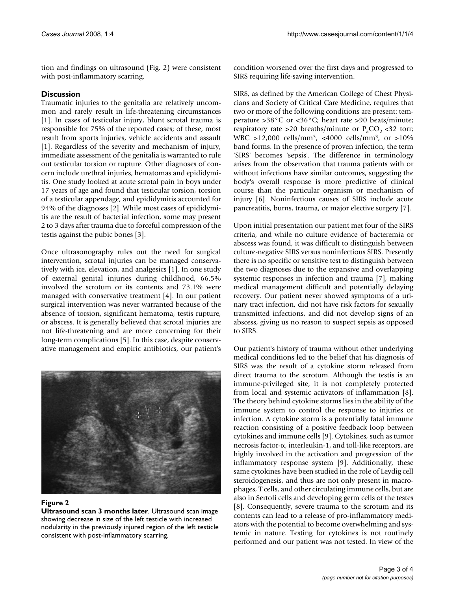tion and findings on ultrasound (Fig. 2) were consistent with post-inflammatory scarring.

# **Discussion**

Traumatic injuries to the genitalia are relatively uncommon and rarely result in life-threatening circumstances [1]. In cases of testicular injury, blunt scrotal trauma is responsible for 75% of the reported cases; of these, most result from sports injuries, vehicle accidents and assault [1]. Regardless of the severity and mechanism of injury, immediate assessment of the genitalia is warranted to rule out testicular torsion or rupture. Other diagnoses of concern include urethral injuries, hematomas and epididymitis. One study looked at acute scrotal pain in boys under 17 years of age and found that testicular torsion, torsion of a testicular appendage, and epididymitis accounted for 94% of the diagnoses [2]. While most cases of epididymitis are the result of bacterial infection, some may present 2 to 3 days after trauma due to forceful compression of the testis against the pubic bones [3].

Once ultrasonography rules out the need for surgical intervention, scrotal injuries can be managed conservatively with ice, elevation, and analgesics [1]. In one study of external genital injuries during childhood, 66.5% involved the scrotum or its contents and 73.1% were managed with conservative treatment [4]. In our patient surgical intervention was never warranted because of the absence of torsion, significant hematoma, testis rupture, or abscess. It is generally believed that scrotal injuries are not life-threatening and are more concerning for their long-term complications [5]. In this case, despite conservative management and empiric antibiotics, our patient's



#### **Figure 2**

**Ultrasound scan 3 months later**. Ultrasound scan image showing decrease in size of the left testicle with increased nodularity in the previously injured region of the left testicle consistent with post-inflammatory scarring.

condition worsened over the first days and progressed to SIRS requiring life-saving intervention.

SIRS, as defined by the American College of Chest Physicians and Society of Critical Care Medicine, requires that two or more of the following conditions are present: temperature >38°C or <36°C; heart rate >90 beats/minute; respiratory rate >20 breaths/minute or  $P_aCO_2$  <32 torr; WBC >12,000 cells/mm3, <4000 cells/mm3, or >10% band forms. In the presence of proven infection, the term 'SIRS' becomes 'sepsis'. The difference in terminology arises from the observation that trauma patients with or without infections have similar outcomes, suggesting the body's overall response is more predictive of clinical course than the particular organism or mechanism of injury [6]. Noninfectious causes of SIRS include acute pancreatitis, burns, trauma, or major elective surgery [7].

Upon initial presentation our patient met four of the SIRS criteria, and while no culture evidence of bacteremia or abscess was found, it was difficult to distinguish between culture-negative SIRS versus noninfectious SIRS. Presently there is no specific or sensitive test to distinguish between the two diagnoses due to the expansive and overlapping systemic responses in infection and trauma [7], making medical management difficult and potentially delaying recovery. Our patient never showed symptoms of a urinary tract infection, did not have risk factors for sexually transmitted infections, and did not develop signs of an abscess, giving us no reason to suspect sepsis as opposed to SIRS.

Our patient's history of trauma without other underlying medical conditions led to the belief that his diagnosis of SIRS was the result of a cytokine storm released from direct trauma to the scrotum. Although the testis is an immune-privileged site, it is not completely protected from local and systemic activators of inflammation [8]. The theory behind cytokine storms lies in the ability of the immune system to control the response to injuries or infection. A cytokine storm is a potentially fatal immune reaction consisting of a positive feedback loop between cytokines and immune cells [9]. Cytokines, such as tumor necrosis factor-α, interleukin-1, and toll-like receptors, are highly involved in the activation and progression of the inflammatory response system [9]. Additionally, these same cytokines have been studied in the role of Leydig cell steroidogenesis, and thus are not only present in macrophages, T cells, and other circulating immune cells, but are also in Sertoli cells and developing germ cells of the testes [8]. Consequently, severe trauma to the scrotum and its contents can lead to a release of pro-inflammatory mediators with the potential to become overwhelming and systemic in nature. Testing for cytokines is not routinely performed and our patient was not tested. In view of the